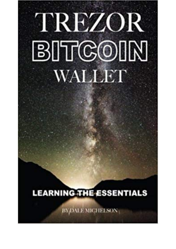## TREZOR **BITCOIN** WALLET

## **LEARNING THE ESSENTIALS**

BYDALE MIGHELSON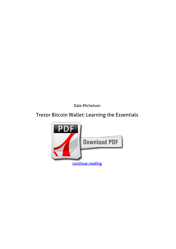*Dale Michelson*

## **Trezor Bitcoin Wallet: Learning the Essentials**

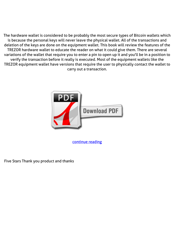The hardware wallet is considered to be probably the most secure types of Bitcoin wallets which is because the personal keys will never leave the physical wallet. All of the transactions and deletion of the keys are done on the equipment wallet. This book will review the features of the TREZOR hardware wallet to educate the reader on what it could give them. There are several variations of the wallet that require you to enter a pin to open up it and you'll be in a position to verify the transaction before it really is executed. Most of the equipment wallets like the TREZOR equipment wallet have versions that require the user to physically contact the wallet to carry out a transaction.



[continue reading](http://bit.ly/2Tge8Fv)

Five Stars Thank you product and thanks